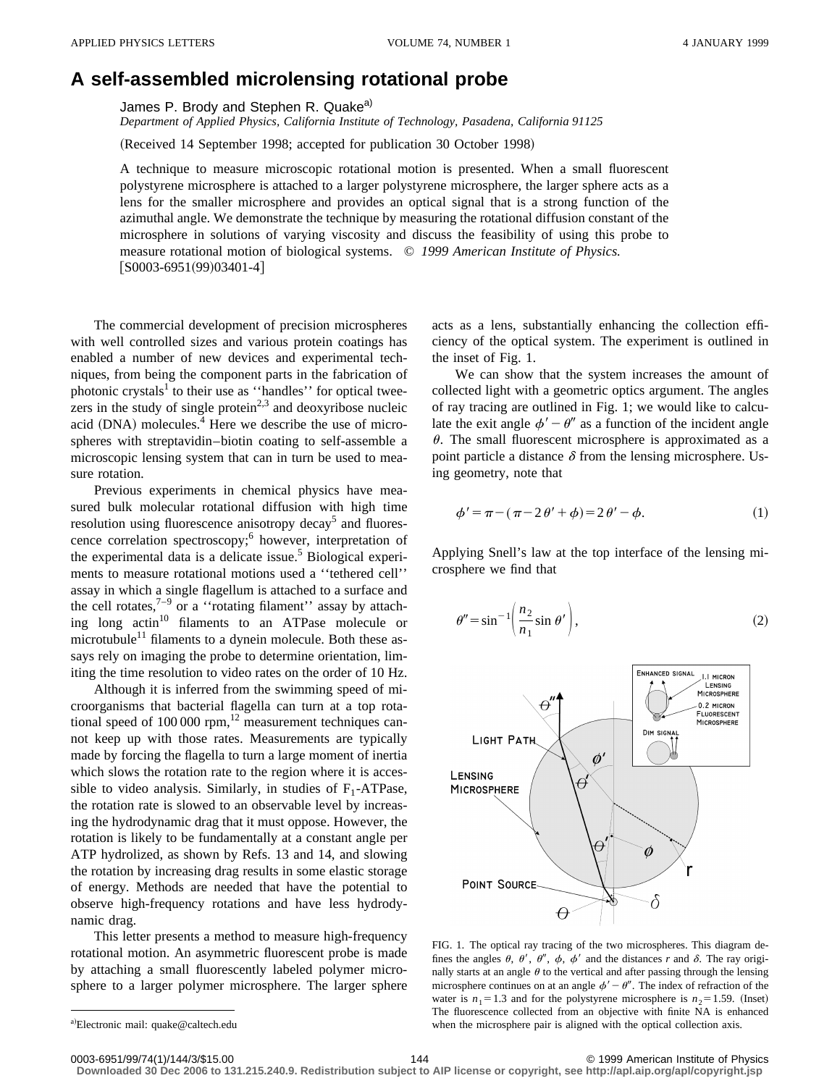## **A self-assembled microlensing rotational probe**

James P. Brody and Stephen R. Quake<sup>a)</sup>

*Department of Applied Physics, California Institute of Technology, Pasadena, California 91125*

(Received 14 September 1998; accepted for publication 30 October 1998)

A technique to measure microscopic rotational motion is presented. When a small fluorescent polystyrene microsphere is attached to a larger polystyrene microsphere, the larger sphere acts as a lens for the smaller microsphere and provides an optical signal that is a strong function of the azimuthal angle. We demonstrate the technique by measuring the rotational diffusion constant of the microsphere in solutions of varying viscosity and discuss the feasibility of using this probe to measure rotational motion of biological systems. © *1999 American Institute of Physics.*  $[50003-6951(99)03401-4]$ 

The commercial development of precision microspheres with well controlled sizes and various protein coatings has enabled a number of new devices and experimental techniques, from being the component parts in the fabrication of photonic crystals<sup>1</sup> to their use as "handles" for optical tweezers in the study of single protein<sup> $2,3$ </sup> and deoxyribose nucleic acid  $(DNA)$  molecules.<sup>4</sup> Here we describe the use of microspheres with streptavidin–biotin coating to self-assemble a microscopic lensing system that can in turn be used to measure rotation.

Previous experiments in chemical physics have measured bulk molecular rotational diffusion with high time resolution using fluorescence anisotropy decay<sup>5</sup> and fluorescence correlation spectroscopy;<sup>6</sup> however, interpretation of the experimental data is a delicate issue.<sup>5</sup> Biological experiments to measure rotational motions used a ''tethered cell'' assay in which a single flagellum is attached to a surface and the cell rotates, $7-9$  or a "rotating filament" assay by attaching long actin<sup>10</sup> filaments to an ATPase molecule or microtubule<sup>11</sup> filaments to a dynein molecule. Both these assays rely on imaging the probe to determine orientation, limiting the time resolution to video rates on the order of 10 Hz.

Although it is inferred from the swimming speed of microorganisms that bacterial flagella can turn at a top rotational speed of  $100\,000$  rpm,<sup>12</sup> measurement techniques cannot keep up with those rates. Measurements are typically made by forcing the flagella to turn a large moment of inertia which slows the rotation rate to the region where it is accessible to video analysis. Similarly, in studies of  $F_1$ -ATPase, the rotation rate is slowed to an observable level by increasing the hydrodynamic drag that it must oppose. However, the rotation is likely to be fundamentally at a constant angle per ATP hydrolized, as shown by Refs. 13 and 14, and slowing the rotation by increasing drag results in some elastic storage of energy. Methods are needed that have the potential to observe high-frequency rotations and have less hydrodynamic drag.

This letter presents a method to measure high-frequency rotational motion. An asymmetric fluorescent probe is made by attaching a small fluorescently labeled polymer microsphere to a larger polymer microsphere. The larger sphere acts as a lens, substantially enhancing the collection efficiency of the optical system. The experiment is outlined in the inset of Fig. 1.

We can show that the system increases the amount of collected light with a geometric optics argument. The angles of ray tracing are outlined in Fig. 1; we would like to calculate the exit angle  $\phi' - \theta''$  as a function of the incident angle  $\theta$ . The small fluorescent microsphere is approximated as a point particle a distance  $\delta$  from the lensing microsphere. Using geometry, note that

$$
\phi' = \pi - (\pi - 2\theta' + \phi) = 2\theta' - \phi.
$$
 (1)

Applying Snell's law at the top interface of the lensing microsphere we find that

$$
\theta'' = \sin^{-1}\left(\frac{n_2}{n_1}\sin\theta'\right),\tag{2}
$$



FIG. 1. The optical ray tracing of the two microspheres. This diagram defines the angles  $\theta$ ,  $\theta'$ ,  $\theta''$ ,  $\phi$ ,  $\phi'$  and the distances *r* and  $\delta$ . The ray originally starts at an angle  $\theta$  to the vertical and after passing through the lensing microsphere continues on at an angle  $\phi' - \theta''$ . The index of refraction of the water is  $n_1=1.3$  and for the polystyrene microsphere is  $n_2=1.59$ . (Inset) The fluorescence collected from an objective with finite NA is enhanced when the microsphere pair is aligned with the optical collection axis.

0003-6951/99/74(1)/144/3/\$15.00 1999 American Institute of Physics 10003-6951/99/74(1)/144/3/\$15.00

**Downloaded 30 Dec 2006 to 131.215.240.9. Redistribution subject to AIP license or copyright, see http://apl.aip.org/apl/copyright.jsp**

a)Electronic mail: quake@caltech.edu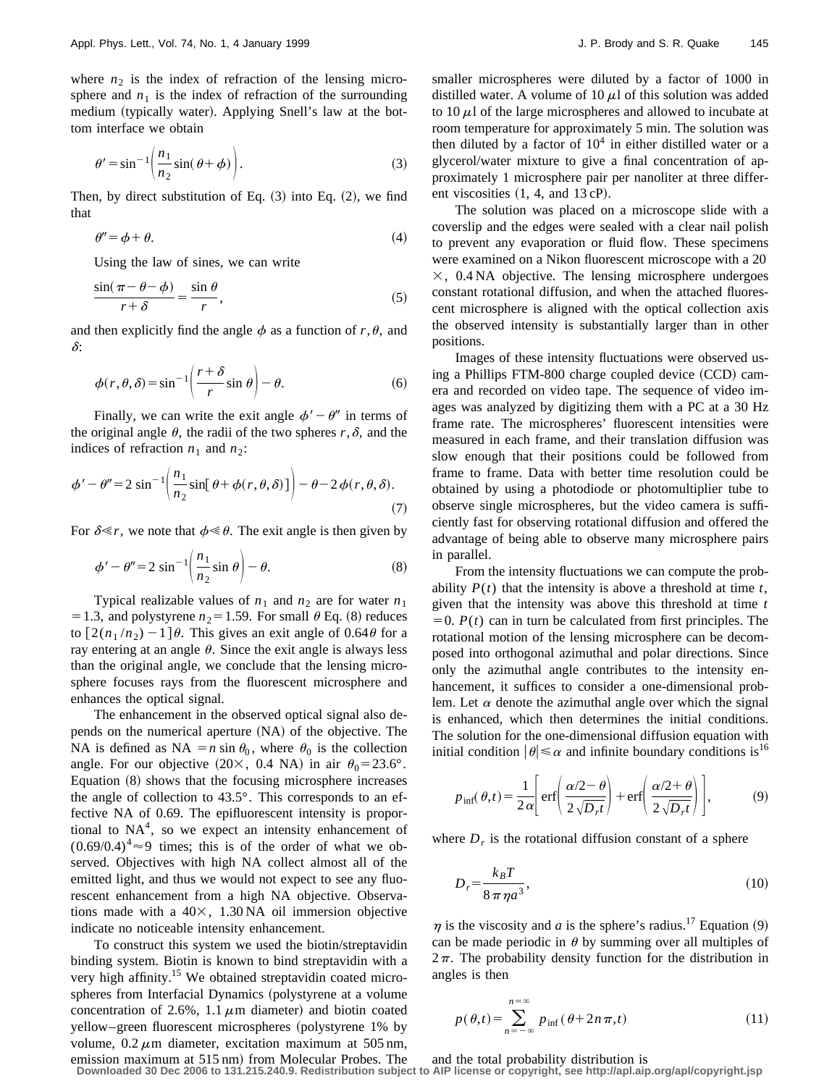where  $n_2$  is the index of refraction of the lensing microsphere and  $n_1$  is the index of refraction of the surrounding medium (typically water). Applying Snell's law at the bottom interface we obtain

$$
\theta' = \sin^{-1}\left(\frac{n_1}{n_2}\sin(\theta + \phi)\right).
$$
 (3)

Then, by direct substitution of Eq.  $(3)$  into Eq.  $(2)$ , we find that

$$
\theta'' = \phi + \theta. \tag{4}
$$

Using the law of sines, we can write

$$
\frac{\sin(\pi - \theta - \phi)}{r + \delta} = \frac{\sin \theta}{r},\tag{5}
$$

and then explicitly find the angle  $\phi$  as a function of  $r, \theta$ , and  $\delta$ :

$$
\phi(r,\theta,\delta) = \sin^{-1}\left(\frac{r+\delta}{r}\sin\theta\right) - \theta.
$$
 (6)

Finally, we can write the exit angle  $\phi' - \theta''$  in terms of the original angle  $\theta$ , the radii of the two spheres  $r, \delta$ , and the indices of refraction  $n_1$  and  $n_2$ :

$$
\phi' - \theta'' = 2 \sin^{-1} \left( \frac{n_1}{n_2} \sin[\theta + \phi(r, \theta, \delta)] \right) - \theta - 2 \phi(r, \theta, \delta). \tag{7}
$$

For  $\delta \ll r$ , we note that  $\phi \ll \theta$ . The exit angle is then given by

$$
\phi' - \theta'' = 2 \sin^{-1} \left( \frac{n_1}{n_2} \sin \theta \right) - \theta.
$$
 (8)

Typical realizable values of  $n_1$  and  $n_2$  are for water  $n_1$ = 1.3, and polystyrene  $n_2$ = 1.59. For small  $\theta$  Eq. (8) reduces to  $\left[2(n_1/n_2) - 1\right]\theta$ . This gives an exit angle of 0.64 $\theta$  for a ray entering at an angle  $\theta$ . Since the exit angle is always less than the original angle, we conclude that the lensing microsphere focuses rays from the fluorescent microsphere and enhances the optical signal.

The enhancement in the observed optical signal also depends on the numerical aperture (NA) of the objective. The NA is defined as NA  $=n \sin \theta_0$ , where  $\theta_0$  is the collection angle. For our objective (20×, 0.4 NA) in air  $\theta_0 = 23.6^\circ$ . Equation  $(8)$  shows that the focusing microsphere increases the angle of collection to 43.5°. This corresponds to an effective NA of 0.69. The epifluorescent intensity is proportional to  $NA<sup>4</sup>$ , so we expect an intensity enhancement of  $(0.69/0.4)^4 \approx 9$  times; this is of the order of what we observed. Objectives with high NA collect almost all of the emitted light, and thus we would not expect to see any fluorescent enhancement from a high NA objective. Observations made with a  $40\times$ , 1.30 NA oil immersion objective indicate no noticeable intensity enhancement.

To construct this system we used the biotin/streptavidin binding system. Biotin is known to bind streptavidin with a very high affinity.<sup>15</sup> We obtained streptavidin coated microspheres from Interfacial Dynamics (polystyrene at a volume concentration of 2.6%, 1.1  $\mu$ m diameter) and biotin coated yellow–green fluorescent microspheres (polystyrene 1% by volume,  $0.2 \mu m$  diameter, excitation maximum at 505 nm, emission maximum at 515 nm) from Molecular Probes. The smaller microspheres were diluted by a factor of 1000 in distilled water. A volume of 10  $\mu$ l of this solution was added to  $10 \mu l$  of the large microspheres and allowed to incubate at room temperature for approximately 5 min. The solution was then diluted by a factor of  $10<sup>4</sup>$  in either distilled water or a glycerol/water mixture to give a final concentration of approximately 1 microsphere pair per nanoliter at three different viscosities  $(1, 4, \text{ and } 13 \text{ cP}).$ 

The solution was placed on a microscope slide with a coverslip and the edges were sealed with a clear nail polish to prevent any evaporation or fluid flow. These specimens were examined on a Nikon fluorescent microscope with a 20  $\times$ , 0.4 NA objective. The lensing microsphere undergoes constant rotational diffusion, and when the attached fluorescent microsphere is aligned with the optical collection axis the observed intensity is substantially larger than in other positions.

Images of these intensity fluctuations were observed using a Phillips FTM-800 charge coupled device  $(CCD)$  camera and recorded on video tape. The sequence of video images was analyzed by digitizing them with a PC at a 30 Hz frame rate. The microspheres' fluorescent intensities were measured in each frame, and their translation diffusion was slow enough that their positions could be followed from frame to frame. Data with better time resolution could be obtained by using a photodiode or photomultiplier tube to observe single microspheres, but the video camera is sufficiently fast for observing rotational diffusion and offered the advantage of being able to observe many microsphere pairs in parallel.

From the intensity fluctuations we can compute the probability  $P(t)$  that the intensity is above a threshold at time  $t$ , given that the intensity was above this threshold at time *t*  $=0.$  *P(t)* can in turn be calculated from first principles. The rotational motion of the lensing microsphere can be decomposed into orthogonal azimuthal and polar directions. Since only the azimuthal angle contributes to the intensity enhancement, it suffices to consider a one-dimensional problem. Let  $\alpha$  denote the azimuthal angle over which the signal is enhanced, which then determines the initial conditions. The solution for the one-dimensional diffusion equation with initial condition  $|\theta| \le \alpha$  and infinite boundary conditions is<sup>16</sup>

$$
p_{\text{inf}}(\theta, t) = \frac{1}{2\alpha} \left[ \text{erf}\left(\frac{\alpha/2 - \theta}{2\sqrt{D_r t}}\right) + \text{erf}\left(\frac{\alpha/2 + \theta}{2\sqrt{D_r t}}\right) \right],\tag{9}
$$

where  $D<sub>r</sub>$  is the rotational diffusion constant of a sphere

$$
D_r = \frac{k_B T}{8 \pi \eta a^3},\tag{10}
$$

 $\eta$  is the viscosity and *a* is the sphere's radius.<sup>17</sup> Equation (9) can be made periodic in  $\theta$  by summing over all multiples of  $2\pi$ . The probability density function for the distribution in angles is then

$$
p(\theta, t) = \sum_{n = -\infty}^{n = \infty} p_{\text{inf}}(\theta + 2n\pi, t)
$$
 (11)

and the total probability distribution is

**Downloaded 30 Dec 2006 to 131.215.240.9. Redistribution subject to AIP license or copyright, see http://apl.aip.org/apl/copyright.jsp**